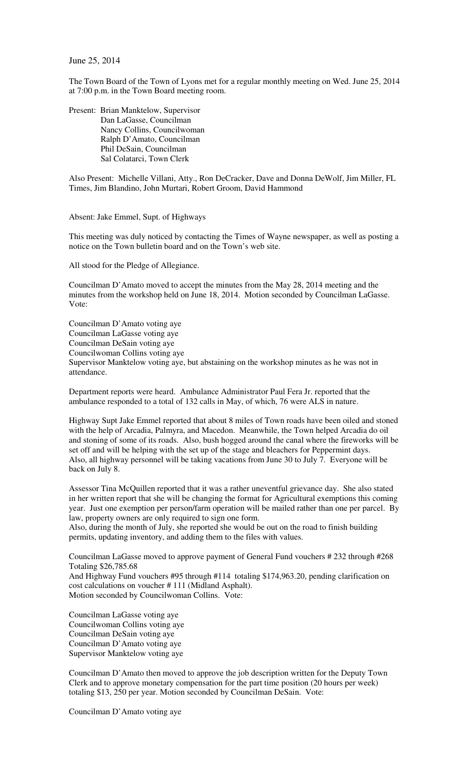June 25, 2014

The Town Board of the Town of Lyons met for a regular monthly meeting on Wed. June 25, 2014 at 7:00 p.m. in the Town Board meeting room.

Present: Brian Manktelow, Supervisor Dan LaGasse, Councilman Nancy Collins, Councilwoman Ralph D'Amato, Councilman Phil DeSain, Councilman Sal Colatarci, Town Clerk

Also Present: Michelle Villani, Atty., Ron DeCracker, Dave and Donna DeWolf, Jim Miller, FL Times, Jim Blandino, John Murtari, Robert Groom, David Hammond

Absent: Jake Emmel, Supt. of Highways

This meeting was duly noticed by contacting the Times of Wayne newspaper, as well as posting a notice on the Town bulletin board and on the Town's web site.

All stood for the Pledge of Allegiance.

Councilman D'Amato moved to accept the minutes from the May 28, 2014 meeting and the minutes from the workshop held on June 18, 2014. Motion seconded by Councilman LaGasse. Vote:

Councilman D'Amato voting aye Councilman LaGasse voting aye Councilman DeSain voting aye Councilwoman Collins voting aye Supervisor Manktelow voting aye, but abstaining on the workshop minutes as he was not in attendance.

Department reports were heard. Ambulance Administrator Paul Fera Jr. reported that the ambulance responded to a total of 132 calls in May, of which, 76 were ALS in nature.

Highway Supt Jake Emmel reported that about 8 miles of Town roads have been oiled and stoned with the help of Arcadia, Palmyra, and Macedon. Meanwhile, the Town helped Arcadia do oil and stoning of some of its roads. Also, bush hogged around the canal where the fireworks will be set off and will be helping with the set up of the stage and bleachers for Peppermint days. Also, all highway personnel will be taking vacations from June 30 to July 7. Everyone will be back on July 8.

Assessor Tina McQuillen reported that it was a rather uneventful grievance day. She also stated in her written report that she will be changing the format for Agricultural exemptions this coming year. Just one exemption per person/farm operation will be mailed rather than one per parcel. By law, property owners are only required to sign one form.

Also, during the month of July, she reported she would be out on the road to finish building permits, updating inventory, and adding them to the files with values.

Councilman LaGasse moved to approve payment of General Fund vouchers # 232 through #268 Totaling \$26,785.68

And Highway Fund vouchers #95 through #114 totaling \$174,963.20, pending clarification on cost calculations on voucher # 111 (Midland Asphalt). Motion seconded by Councilwoman Collins. Vote:

Councilman LaGasse voting aye Councilwoman Collins voting aye Councilman DeSain voting aye Councilman D'Amato voting aye Supervisor Manktelow voting aye

Councilman D'Amato then moved to approve the job description written for the Deputy Town Clerk and to approve monetary compensation for the part time position (20 hours per week) totaling \$13, 250 per year. Motion seconded by Councilman DeSain. Vote:

Councilman D'Amato voting aye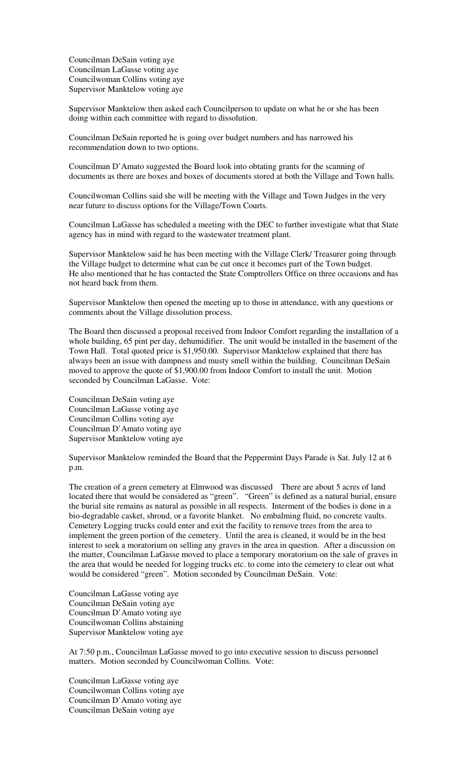Councilman DeSain voting aye Councilman LaGasse voting aye Councilwoman Collins voting aye Supervisor Manktelow voting aye

Supervisor Manktelow then asked each Councilperson to update on what he or she has been doing within each committee with regard to dissolution.

Councilman DeSain reported he is going over budget numbers and has narrowed his recommendation down to two options.

Councilman D'Amato suggested the Board look into obtating grants for the scanning of documents as there are boxes and boxes of documents stored at both the Village and Town halls.

Councilwoman Collins said she will be meeting with the Village and Town Judges in the very near future to discuss options for the Village/Town Courts.

Councilman LaGasse has scheduled a meeting with the DEC to further investigate what that State agency has in mind with regard to the wastewater treatment plant.

Supervisor Manktelow said he has been meeting with the Village Clerk/ Treasurer going through the Village budget to determine what can be cut once it becomes part of the Town budget. He also mentioned that he has contacted the State Comptrollers Office on three occasions and has not heard back from them.

Supervisor Manktelow then opened the meeting up to those in attendance, with any questions or comments about the Village dissolution process.

The Board then discussed a proposal received from Indoor Comfort regarding the installation of a whole building, 65 pint per day, dehumidifier. The unit would be installed in the basement of the Town Hall. Total quoted price is \$1,950.00. Supervisor Manktelow explained that there has always been an issue with dampness and musty smell within the building. Councilman DeSain moved to approve the quote of \$1,900.00 from Indoor Comfort to install the unit. Motion seconded by Councilman LaGasse. Vote:

Councilman DeSain voting aye Councilman LaGasse voting aye Councilman Collins voting aye Councilman D'Amato voting aye Supervisor Manktelow voting aye

Supervisor Manktelow reminded the Board that the Peppermint Days Parade is Sat. July 12 at 6 p.m.

The creation of a green cemetery at Elmwood was discussed There are about 5 acres of land located there that would be considered as "green". "Green" is defined as a natural burial, ensure the burial site remains as natural as possible in all respects. Interment of the bodies is done in a bio-degradable casket, shroud, or a favorite blanket. No embalming fluid, no concrete vaults. Cemetery Logging trucks could enter and exit the facility to remove trees from the area to implement the green portion of the cemetery. Until the area is cleaned, it would be in the best interest to seek a moratorium on selling any graves in the area in question. After a discussion on the matter, Councilman LaGasse moved to place a temporary moratorium on the sale of graves in the area that would be needed for logging trucks etc. to come into the cemetery to clear out what would be considered "green". Motion seconded by Councilman DeSain. Vote:

Councilman LaGasse voting aye Councilman DeSain voting aye Councilman D'Amato voting aye Councilwoman Collins abstaining Supervisor Manktelow voting aye

At 7:50 p.m., Councilman LaGasse moved to go into executive session to discuss personnel matters. Motion seconded by Councilwoman Collins. Vote:

Councilman LaGasse voting aye Councilwoman Collins voting aye Councilman D'Amato voting aye Councilman DeSain voting aye